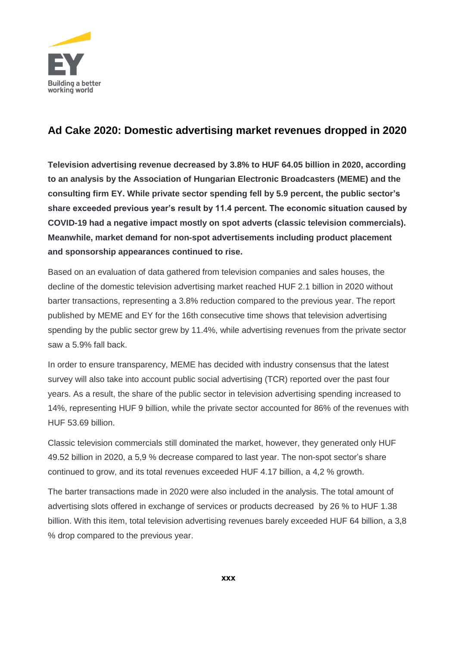

## **Ad Cake 2020: Domestic advertising market revenues dropped in 2020**

**Television advertising revenue decreased by 3.8% to HUF 64.05 billion in 2020, according to an analysis by the Association of Hungarian Electronic Broadcasters (MEME) and the consulting firm EY. While private sector spending fell by 5.9 percent, the public sector's share exceeded previous year's result by 11.4 percent. The economic situation caused by COVID-19 had a negative impact mostly on spot adverts (classic television commercials). Meanwhile, market demand for non-spot advertisements including product placement and sponsorship appearances continued to rise.**

Based on an evaluation of data gathered from television companies and sales houses, the decline of the domestic television advertising market reached HUF 2.1 billion in 2020 without barter transactions, representing a 3.8% reduction compared to the previous year. The report published by MEME and EY for the 16th consecutive time shows that television advertising spending by the public sector grew by 11.4%, while advertising revenues from the private sector saw a 5.9% fall back.

In order to ensure transparency, MEME has decided with industry consensus that the latest survey will also take into account public social advertising (TCR) reported over the past four years. As a result, the share of the public sector in television advertising spending increased to 14%, representing HUF 9 billion, while the private sector accounted for 86% of the revenues with HUF 53.69 billion.

Classic television commercials still dominated the market, however, they generated only HUF 49.52 billion in 2020, a 5,9 % decrease compared to last year. The non-spot sector's share continued to grow, and its total revenues exceeded HUF 4.17 billion, a 4,2 % growth.

The barter transactions made in 2020 were also included in the analysis. The total amount of advertising slots offered in exchange of services or products decreased by 26 % to HUF 1.38 billion. With this item, total television advertising revenues barely exceeded HUF 64 billion, a 3,8 % drop compared to the previous year.